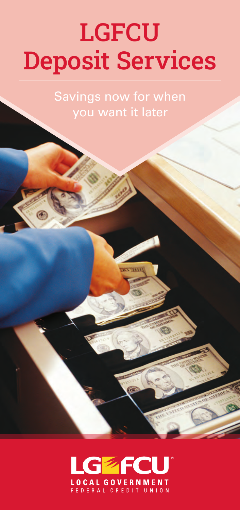# LGFCU Deposit Services

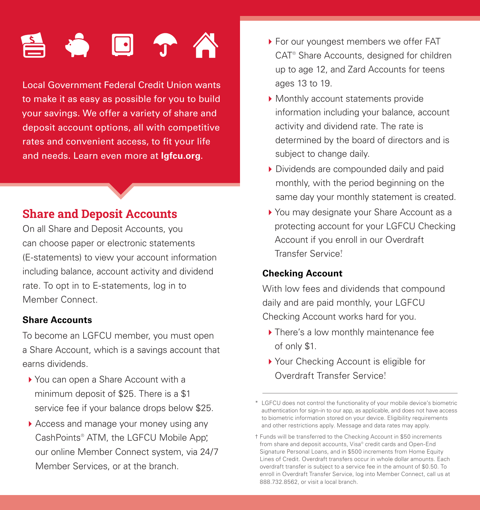# $\Box$

Local Government Federal Credit Union wants to make it as easy as possible for you to build your savings. We offer a variety of share and deposit account options, all with competitive rates and convenient access, to fit your life and needs. Learn even more at **lgfcu.org**.

# Share and Deposit Accounts

On all Share and Deposit Accounts, you can choose paper or electronic statements (E-statements) to view your account information including balance, account activity and dividend rate. To opt in to E-statements, log in to Member Connect.

#### **Share Accounts**

To become an LGFCU member, you must open a Share Account, which is a savings account that earns dividends.

- ▶ You can open a Share Account with a minimum deposit of \$25. There is a \$1 service fee if your balance drops below \$25.
- 4Access and manage your money using any CashPoints<sup>®</sup> ATM, the LGFCU Mobile App<sup>\*</sup>, our online Member Connect system, via 24/7 Member Services, or at the branch.
- ▶ For our youngest members we offer FAT CAT® Share Accounts, designed for children up to age 12, and Zard Accounts for teens ages 13 to 19.
- $\blacktriangleright$  Monthly account statements provide information including your balance, account activity and dividend rate. The rate is determined by the board of directors and is subject to change daily.
- ▶ Dividends are compounded daily and paid monthly, with the period beginning on the same day your monthly statement is created.
- ▶ You may designate your Share Account as a protecting account for your LGFCU Checking Account if you enroll in our Overdraft Transfer Service. †

#### **Checking Account**

With low fees and dividends that compound daily and are paid monthly, your LGFCU Checking Account works hard for you.

- ▶ There's a low monthly maintenance fee of only \$1.
- ▶ Your Checking Account is eligible for Overdraft Transfer Service. †

<sup>\*</sup> LGFCU does not control the functionality of your mobile device's biometric authentication for sign-in to our app, as applicable, and does not have access to biometric information stored on your device. Eligibility requirements and other restrictions apply. Message and data rates may apply.

<sup>†</sup> Funds will be transferred to the Checking Account in \$50 increments from share and deposit accounts, Visa® credit cards and Open-End Signature Personal Loans, and in \$500 increments from Home Equity Lines of Credit. Overdraft transfers occur in whole dollar amounts. Each overdraft transfer is subject to a service fee in the amount of \$0.50. To enroll in Overdraft Transfer Service, log into Member Connect, call us at 888.732.8562, or visit a local branch.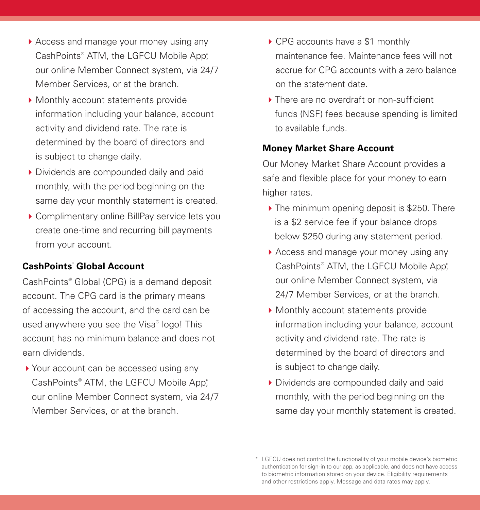- ▶ Access and manage your money using any CashPoints<sup>®</sup> ATM, the LGFCU Mobile App\*, our online Member Connect system, via 24/7 Member Services, or at the branch.
- ▶ Monthly account statements provide information including your balance, account activity and dividend rate. The rate is determined by the board of directors and is subject to change daily.
- 4 Dividends are compounded daily and paid monthly, with the period beginning on the same day your monthly statement is created.
- ▶ Complimentary online BillPay service lets you create one-time and recurring bill payments from your account.

#### **CashPoints**®  **Global Account**

CashPoints® Global (CPG) is a demand deposit account. The CPG card is the primary means of accessing the account, and the card can be used anywhere you see the Visa® logo! This account has no minimum balance and does not earn dividends.

▶ Your account can be accessed using any CashPoints<sup>®</sup> ATM, the LGFCU Mobile App<sup>\*</sup>, our online Member Connect system, via 24/7 Member Services, or at the branch.

- ▶ CPG accounts have a \$1 monthly maintenance fee. Maintenance fees will not accrue for CPG accounts with a zero balance on the statement date.
- ▶ There are no overdraft or non-sufficient funds (NSF) fees because spending is limited to available funds.

#### **Money Market Share Account**

Our Money Market Share Account provides a safe and flexible place for your money to earn higher rates.

- $\blacktriangleright$  The minimum opening deposit is \$250. There is a \$2 service fee if your balance drops below \$250 during any statement period.
- Access and manage your money using any CashPoints<sup>®</sup> ATM, the LGFCU Mobile App\*, our online Member Connect system, via 24/7 Member Services, or at the branch.
- $\blacktriangleright$  Monthly account statements provide information including your balance, account activity and dividend rate. The rate is determined by the board of directors and is subject to change daily.
- 4 Dividends are compounded daily and paid monthly, with the period beginning on the same day your monthly statement is created.

<sup>\*</sup> LGFCU does not control the functionality of your mobile device's biometric authentication for sign-in to our app, as applicable, and does not have access to biometric information stored on your device. Eligibility requirements and other restrictions apply. Message and data rates may apply.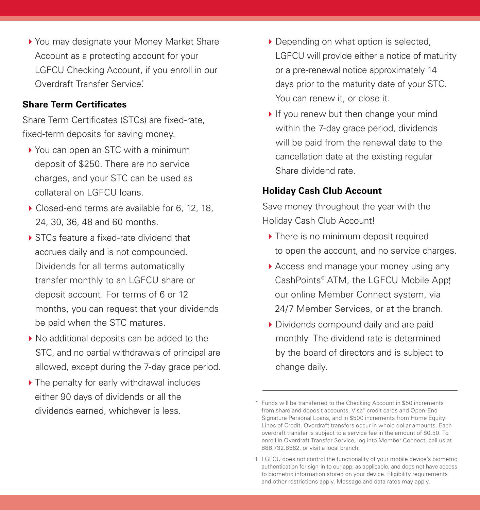▶ You may designate your Money Market Share Account as a protecting account for your LGFCU Checking Account, if you enroll in our Overdraft Transfer Service<sup>\*</sup>

#### **Share Term Certificates**

Share Term Certificates (STCs) are fixed-rate, fixed-term deposits for saving money.

- ▶ You can open an STC with a minimum deposit of \$250. There are no service charges, and your STC can be used as collateral on LGFCU loans.
- ▶ Closed-end terms are available for 6, 12, 18, 24, 30, 36, 48 and 60 months.
- $\triangleright$  STCs feature a fixed-rate dividend that accrues daily and is not compounded. Dividends for all terms automatically transfer monthly to an LGFCU share or deposit account. For terms of 6 or 12 months, you can request that your dividends be paid when the STC matures.
- ▶ No additional deposits can be added to the STC, and no partial withdrawals of principal are allowed, except during the 7-day grace period.
- $\blacktriangleright$  The penalty for early withdrawal includes either 90 days of dividends or all the dividends earned, whichever is less.
- ▶ Depending on what option is selected, LGFCU will provide either a notice of maturity or a pre-renewal notice approximately 14 days prior to the maturity date of your STC. You can renew it, or close it.
- $\blacktriangleright$  If you renew but then change your mind within the 7-day grace period, dividends will be paid from the renewal date to the cancellation date at the existing regular Share dividend rate.

#### **Holiday Cash Club Account**

Save money throughout the year with the Holiday Cash Club Account!

- $\blacktriangleright$  There is no minimum deposit required to open the account, and no service charges.
- Access and manage your money using any CashPoints® ATM, the LGFCU Mobile App; our online Member Connect system, via 24/7 Member Services, or at the branch.
- 4 Dividends compound daily and are paid monthly. The dividend rate is determined by the board of directors and is subject to change daily.

<sup>\*</sup> Funds will be transferred to the Checking Account in \$50 increments from share and deposit accounts, Visa® credit cards and Open-End Signature Personal Loans, and in \$500 increments from Home Equity Lines of Credit. Overdraft transfers occur in whole dollar amounts. Each overdraft transfer is subject to a service fee in the amount of \$0.50. To enroll in Overdraft Transfer Service, log into Member Connect, call us at 888.732.8562, or visit a local branch.

<sup>†</sup> LGFCU does not control the functionality of your mobile device's biometric authentication for sign-in to our app, as applicable, and does not have access to biometric information stored on your device. Eligibility requirements and other restrictions apply. Message and data rates may apply.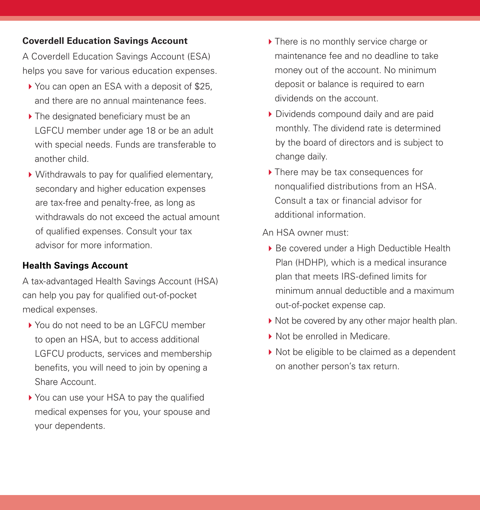#### **Coverdell Education Savings Account**

A Coverdell Education Savings Account (ESA) helps you save for various education expenses.

- ▶ You can open an ESA with a deposit of \$25, and there are no annual maintenance fees.
- $\blacktriangleright$  The designated beneficiary must be an LGFCU member under age 18 or be an adult with special needs. Funds are transferable to another child.
- $\triangleright$  Withdrawals to pay for qualified elementary, secondary and higher education expenses are tax-free and penalty-free, as long as withdrawals do not exceed the actual amount of qualified expenses. Consult your tax advisor for more information.

#### **Health Savings Account**

A tax-advantaged Health Savings Account (HSA) can help you pay for qualified out-of-pocket medical expenses.

- ▶ You do not need to be an LGFCU member to open an HSA, but to access additional LGFCU products, services and membership benefits, you will need to join by opening a Share Account.
- ▶ You can use your HSA to pay the qualified medical expenses for you, your spouse and your dependents.
- ▶ There is no monthly service charge or maintenance fee and no deadline to take money out of the account. No minimum deposit or balance is required to earn dividends on the account.
- ▶ Dividends compound daily and are paid monthly. The dividend rate is determined by the board of directors and is subject to change daily.
- $\blacktriangleright$  There may be tax consequences for nonqualified distributions from an HSA. Consult a tax or financial advisor for additional information.

#### An HSA owner must:

- ▶ Be covered under a High Deductible Health Plan (HDHP), which is a medical insurance plan that meets IRS-defined limits for minimum annual deductible and a maximum out-of-pocket expense cap.
- $\blacktriangleright$  Not be covered by any other major health plan.
- ▶ Not be enrolled in Medicare.
- ▶ Not be eligible to be claimed as a dependent on another person's tax return.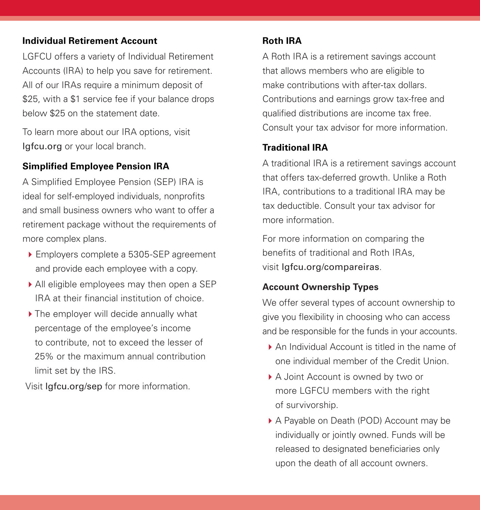#### **Individual Retirement Account**

LGFCU offers a variety of Individual Retirement Accounts (IRA) to help you save for retirement. All of our IRAs require a minimum deposit of \$25, with a \$1 service fee if your balance drops below \$25 on the statement date.

To learn more about our IRA options, visit lgfcu.org or your local branch.

#### **Simplified Employee Pension IRA**

A Simplified Employee Pension (SEP) IRA is ideal for self-employed individuals, nonprofits and small business owners who want to offer a retirement package without the requirements of more complex plans.

- ▶ Employers complete a 5305-SEP agreement and provide each employee with a copy.
- All eligible employees may then open a SEP IRA at their financial institution of choice.
- ▶ The employer will decide annually what percentage of the employee's income to contribute, not to exceed the lesser of 25% or the maximum annual contribution limit set by the IRS.

Visit lgfcu.org/sep for more information.

#### **Roth IRA**

A Roth IRA is a retirement savings account that allows members who are eligible to make contributions with after-tax dollars. Contributions and earnings grow tax-free and qualified distributions are income tax free. Consult your tax advisor for more information.

#### **Traditional IRA**

A traditional IRA is a retirement savings account that offers tax-deferred growth. Unlike a Roth IRA, contributions to a traditional IRA may be tax deductible. Consult your tax advisor for more information.

For more information on comparing the benefits of traditional and Roth IRAs, visit lgfcu.org/compareiras.

#### **Account Ownership Types**

We offer several types of account ownership to give you flexibility in choosing who can access and be responsible for the funds in your accounts.

- $\triangleright$  An Individual Account is titled in the name of one individual member of the Credit Union.
- ▶ A Joint Account is owned by two or more LGFCU members with the right of survivorship.
- ▶ A Payable on Death (POD) Account may be individually or jointly owned. Funds will be released to designated beneficiaries only upon the death of all account owners.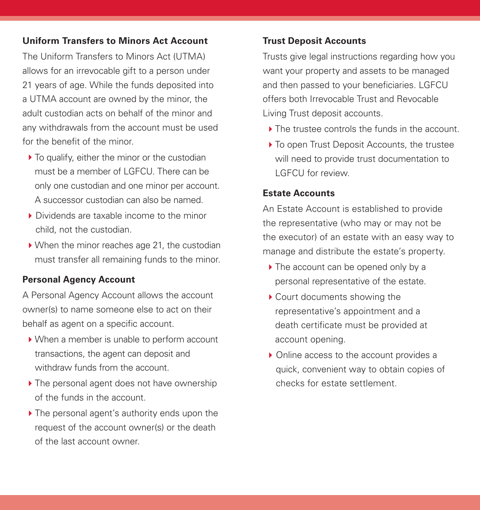#### **Uniform Transfers to Minors Act Account**

The Uniform Transfers to Minors Act (UTMA) allows for an irrevocable gift to a person under 21 years of age. While the funds deposited into a UTMA account are owned by the minor, the adult custodian acts on behalf of the minor and any withdrawals from the account must be used for the benefit of the minor.

- $\blacktriangleright$  To qualify, either the minor or the custodian must be a member of LGFCU. There can be only one custodian and one minor per account. A successor custodian can also be named.
- ▶ Dividends are taxable income to the minor child, not the custodian.
- $\blacktriangleright$  When the minor reaches age 21, the custodian must transfer all remaining funds to the minor.

#### **Personal Agency Account**

A Personal Agency Account allows the account owner(s) to name someone else to act on their behalf as agent on a specific account.

- ▶ When a member is unable to perform account transactions, the agent can deposit and withdraw funds from the account.
- $\blacktriangleright$  The personal agent does not have ownership of the funds in the account.
- $\blacktriangleright$  The personal agent's authority ends upon the request of the account owner(s) or the death of the last account owner.

#### **Trust Deposit Accounts**

Trusts give legal instructions regarding how you want your property and assets to be managed and then passed to your beneficiaries. LGFCU offers both Irrevocable Trust and Revocable Living Trust deposit accounts.

- ▶ The trustee controls the funds in the account.
- ▶ To open Trust Deposit Accounts, the trustee will need to provide trust documentation to LGFCU for review.

#### **Estate Accounts**

An Estate Account is established to provide the representative (who may or may not be the executor) of an estate with an easy way to manage and distribute the estate's property.

- $\triangleright$  The account can be opened only by a personal representative of the estate.
- $\blacktriangleright$  Court documents showing the representative's appointment and a death certificate must be provided at account opening.
- ▶ Online access to the account provides a quick, convenient way to obtain copies of checks for estate settlement.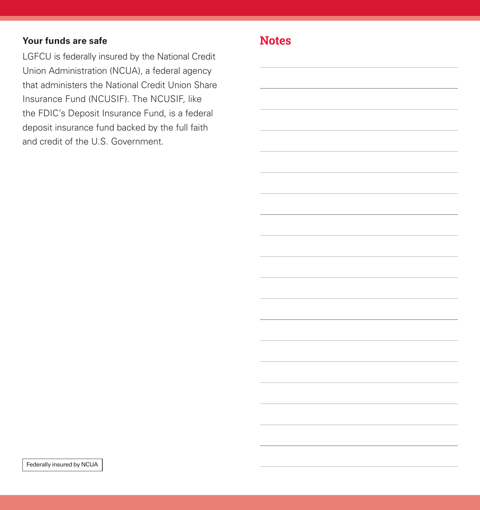#### **Your funds are safe**

LGFCU is federally insured by the National Credit Union Administration (NCUA), a federal agency that administers the National Credit Union Share Insurance Fund (NCUSIF). The NCUSIF, like the FDIC's Deposit Insurance Fund, is a federal deposit insurance fund backed by the full faith and credit of the U.S. Government.

### **Notes**